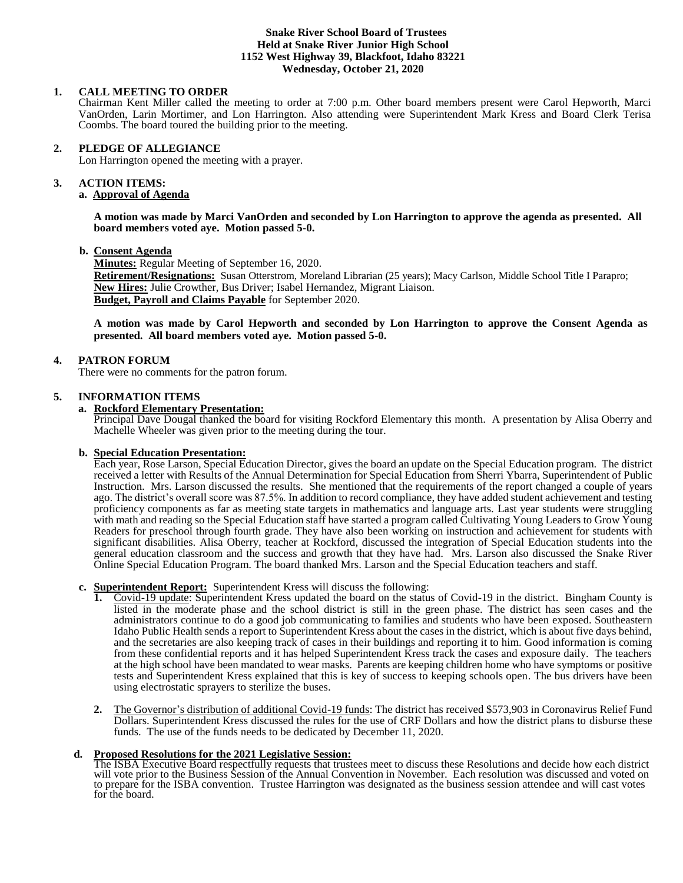#### **Snake River School Board of Trustees Held at Snake River Junior High School 1152 West Highway 39, Blackfoot, Idaho 83221 Wednesday, October 21, 2020**

## **1. CALL MEETING TO ORDER**

Chairman Kent Miller called the meeting to order at 7:00 p.m. Other board members present were Carol Hepworth, Marci VanOrden, Larin Mortimer, and Lon Harrington. Also attending were Superintendent Mark Kress and Board Clerk Terisa Coombs. The board toured the building prior to the meeting.

### **2. PLEDGE OF ALLEGIANCE**

Lon Harrington opened the meeting with a prayer.

#### 3. **3. ACTION ITEMS:**

# **a. Approval of Agenda**

**A motion was made by Marci VanOrden and seconded by Lon Harrington to approve the agenda as presented. All board members voted aye. Motion passed 5-0.**

### **b. Consent Agenda**

**Minutes:** Regular Meeting of September 16, 2020. **Retirement/Resignations:** Susan Otterstrom, Moreland Librarian (25 years); Macy Carlson, Middle School Title I Parapro; **New Hires:** Julie Crowther, Bus Driver; Isabel Hernandez, Migrant Liaison. **Budget, Payroll and Claims Payable** for September 2020.

**A motion was made by Carol Hepworth and seconded by Lon Harrington to approve the Consent Agenda as presented. All board members voted aye. Motion passed 5-0.**

## **4. PATRON FORUM**

There were no comments for the patron forum.

#### **5. INFORMATION ITEMS**

#### **a. Rockford Elementary Presentation:**

Principal Dave Dougal thanked the board for visiting Rockford Elementary this month. A presentation by Alisa Oberry and Machelle Wheeler was given prior to the meeting during the tour.

## **b. Special Education Presentation:**

Each year, Rose Larson, Special Education Director, gives the board an update on the Special Education program. The district received a letter with Results of the Annual Determination for Special Education from Sherri Ybarra, Superintendent of Public Instruction. Mrs. Larson discussed the results. She mentioned that the requirements of the report changed a couple of years ago. The district's overall score was 87.5%. In addition to record compliance, they have added student achievement and testing proficiency components as far as meeting state targets in mathematics and language arts. Last year students were struggling with math and reading so the Special Education staff have started a program called Cultivating Young Leaders to Grow Young Readers for preschool through fourth grade. They have also been working on instruction and achievement for students with significant disabilities. Alisa Oberry, teacher at Rockford, discussed the integration of Special Education students into the general education classroom and the success and growth that they have had. Mrs. Larson also discussed the Snake River Online Special Education Program. The board thanked Mrs. Larson and the Special Education teachers and staff.

#### **c. Superintendent Report:** Superintendent Kress will discuss the following:

- **1.** Covid-19 update: Superintendent Kress updated the board on the status of Covid-19 in the district. Bingham County is listed in the moderate phase and the school district is still in the green phase. The district has seen cases and the administrators continue to do a good job communicating to families and students who have been exposed. Southeastern Idaho Public Health sends a report to Superintendent Kress about the cases in the district, which is about five days behind, and the secretaries are also keeping track of cases in their buildings and reporting it to him. Good information is coming from these confidential reports and it has helped Superintendent Kress track the cases and exposure daily. The teachers at the high school have been mandated to wear masks. Parents are keeping children home who have symptoms or positive tests and Superintendent Kress explained that this is key of success to keeping schools open. The bus drivers have been using electrostatic sprayers to sterilize the buses.
- **2.** The Governor's distribution of additional Covid-19 funds: The district has received \$573,903 in Coronavirus Relief Fund Dollars. Superintendent Kress discussed the rules for the use of CRF Dollars and how the district plans to disburse these funds. The use of the funds needs to be dedicated by December 11, 2020.

#### **d. Proposed Resolutions for the 2021 Legislative Session:**

The ISBA Executive Board respectfully requests that trustees meet to discuss these Resolutions and decide how each district will vote prior to the Business Session of the Annual Convention in November. Each resolution was discussed and voted on to prepare for the ISBA convention. Trustee Harrington was designated as the business session attendee and will cast votes for the board.